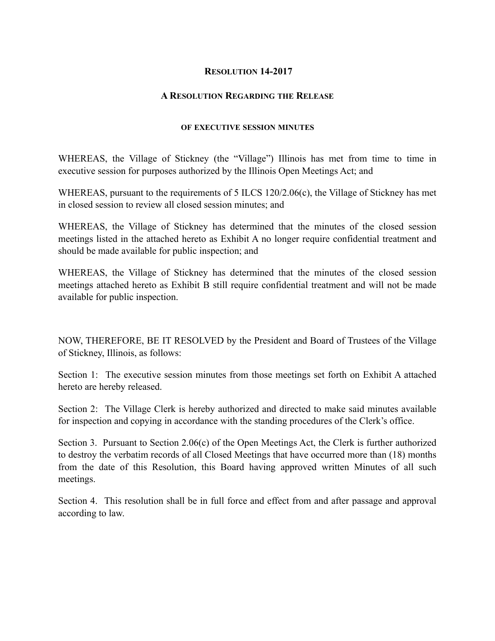## **RESOLUTION 14-2017**

## **A RESOLUTION REGARDING THE RELEASE**

## **OF EXECUTIVE SESSION MINUTES**

WHEREAS, the Village of Stickney (the "Village") Illinois has met from time to time in executive session for purposes authorized by the Illinois Open Meetings Act; and

WHEREAS, pursuant to the requirements of 5 ILCS 120/2.06(c), the Village of Stickney has met in closed session to review all closed session minutes; and

WHEREAS, the Village of Stickney has determined that the minutes of the closed session meetings listed in the attached hereto as Exhibit A no longer require confidential treatment and should be made available for public inspection; and

WHEREAS, the Village of Stickney has determined that the minutes of the closed session meetings attached hereto as Exhibit B still require confidential treatment and will not be made available for public inspection.

NOW, THEREFORE, BE IT RESOLVED by the President and Board of Trustees of the Village of Stickney, Illinois, as follows:

Section 1: The executive session minutes from those meetings set forth on Exhibit A attached hereto are hereby released.

Section 2: The Village Clerk is hereby authorized and directed to make said minutes available for inspection and copying in accordance with the standing procedures of the Clerk's office.

Section 3. Pursuant to Section 2.06(c) of the Open Meetings Act, the Clerk is further authorized to destroy the verbatim records of all Closed Meetings that have occurred more than (18) months from the date of this Resolution, this Board having approved written Minutes of all such meetings.

Section 4. This resolution shall be in full force and effect from and after passage and approval according to law.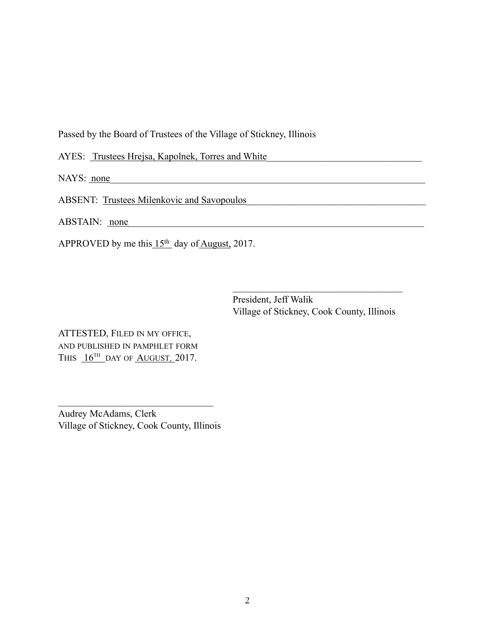Passed by the Board of Trustees of the Village of Stickney, Illinois

 $\mathcal{L}_\text{max}$  and  $\mathcal{L}_\text{max}$  and  $\mathcal{L}_\text{max}$  and  $\mathcal{L}_\text{max}$  and  $\mathcal{L}_\text{max}$  and  $\mathcal{L}_\text{max}$ 

AYES: Trustees Hrejsa, Kapolnek, Torres and White\_\_\_\_\_\_\_\_\_\_\_\_\_\_\_\_\_\_\_\_\_\_\_\_\_\_\_\_\_\_\_

NAYS: <u>none</u>

ABSENT: Trustees Milenkovic and Savopoulos

ABSTAIN: <u>none</u>

APPROVED by me this 15<sup>th</sup> day of August, 2017.

 President, Jeff Walik Village of Stickney, Cook County, Illinois

ATTESTED, FILED IN MY OFFICE, AND PUBLISHED IN PAMPHLET FORM THIS  $16^{TH}$  DAY OF AUGUST, 2017.

Audrey McAdams, Clerk Village of Stickney, Cook County, Illinois

 $\mathcal{L}_\text{max}$  , where  $\mathcal{L}_\text{max}$  and  $\mathcal{L}_\text{max}$  and  $\mathcal{L}_\text{max}$